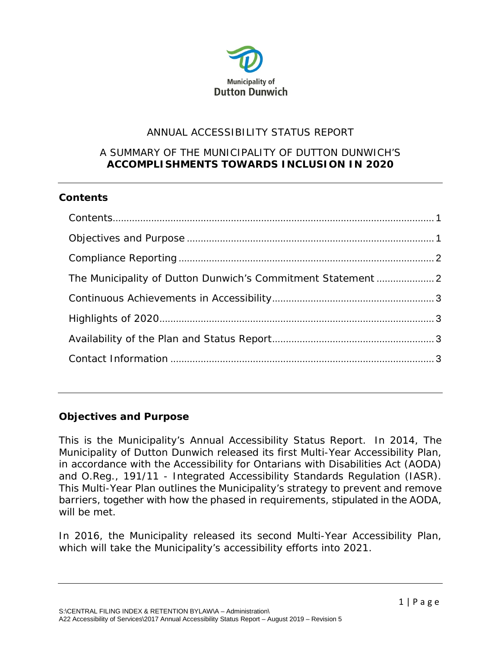

# ANNUAL ACCESSIBILITY STATUS REPORT

### A SUMMARY OF THE MUNICIPALITY OF DUTTON DUNWICH'S **ACCOMPLISHMENTS TOWARDS INCLUSION IN 2020**

## <span id="page-0-0"></span>**Contents**

| The Municipality of Dutton Dunwich's Commitment Statement 2 |  |
|-------------------------------------------------------------|--|
|                                                             |  |
|                                                             |  |
|                                                             |  |
|                                                             |  |
|                                                             |  |

### <span id="page-0-1"></span>**Objectives and Purpose**

This is the Municipality's Annual Accessibility Status Report. In 2014, The Municipality of Dutton Dunwich released its first Multi-Year Accessibility Plan, in accordance with the Accessibility for Ontarians with Disabilities Act (AODA) and O.Reg., 191/11 - Integrated Accessibility Standards Regulation (IASR). This Multi-Year Plan outlines the Municipality's strategy to prevent and remove barriers, together with how the phased in requirements, stipulated in the AODA, will be met.

In 2016, the Municipality released its second Multi-Year Accessibility Plan, which will take the Municipality's accessibility efforts into 2021.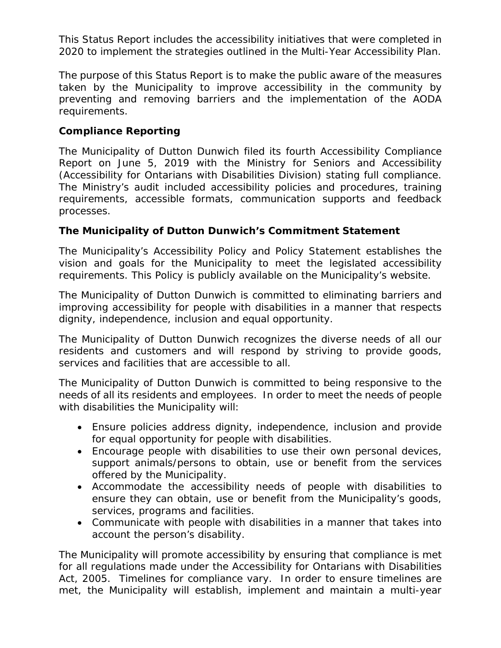This Status Report includes the accessibility initiatives that were completed in 2020 to implement the strategies outlined in the Multi-Year Accessibility Plan.

The purpose of this Status Report is to make the public aware of the measures taken by the Municipality to improve accessibility in the community by preventing and removing barriers and the implementation of the AODA requirements.

## <span id="page-1-0"></span>**Compliance Reporting**

The Municipality of Dutton Dunwich filed its fourth Accessibility Compliance Report on June 5, 2019 with the Ministry for Seniors and Accessibility (Accessibility for Ontarians with Disabilities Division) stating full compliance. The Ministry's audit included accessibility policies and procedures, training requirements, accessible formats, communication supports and feedback processes.

## <span id="page-1-1"></span>**The Municipality of Dutton Dunwich's Commitment Statement**

The Municipality's Accessibility Policy and Policy Statement establishes the vision and goals for the Municipality to meet the legislated accessibility requirements. This Policy is publicly available on the Municipality's website.

The Municipality of Dutton Dunwich is committed to eliminating barriers and improving accessibility for people with disabilities in a manner that respects dignity, independence, inclusion and equal opportunity.

The Municipality of Dutton Dunwich recognizes the diverse needs of all our residents and customers and will respond by striving to provide goods, services and facilities that are accessible to all.

The Municipality of Dutton Dunwich is committed to being responsive to the needs of all its residents and employees. In order to meet the needs of people with disabilities the Municipality will:

- Ensure policies address dignity, independence, inclusion and provide for equal opportunity for people with disabilities.
- Encourage people with disabilities to use their own personal devices, support animals/persons to obtain, use or benefit from the services offered by the Municipality.
- Accommodate the accessibility needs of people with disabilities to ensure they can obtain, use or benefit from the Municipality's goods, services, programs and facilities.
- Communicate with people with disabilities in a manner that takes into account the person's disability.

The Municipality will promote accessibility by ensuring that compliance is met for all regulations made under the Accessibility for Ontarians with Disabilities Act, 2005. Timelines for compliance vary. In order to ensure timelines are met, the Municipality will establish, implement and maintain a multi-year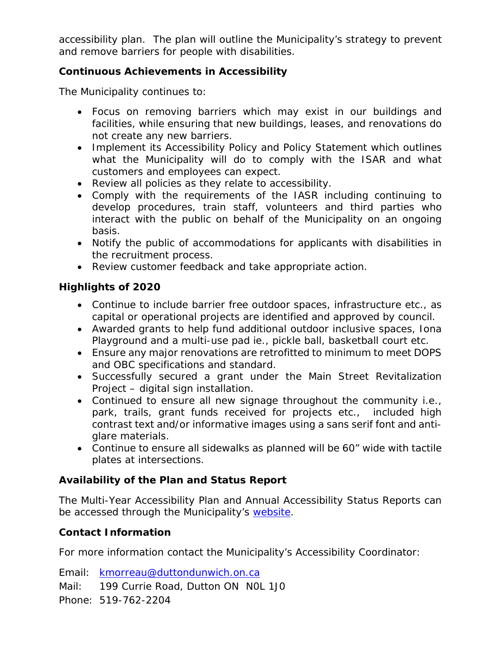accessibility plan. The plan will outline the Municipality's strategy to prevent and remove barriers for people with disabilities.

## <span id="page-2-0"></span>**Continuous Achievements in Accessibility**

The Municipality continues to:

- Focus on removing barriers which may exist in our buildings and facilities, while ensuring that new buildings, leases, and renovations do not create any new barriers.
- Implement its Accessibility Policy and Policy Statement which outlines what the Municipality will do to comply with the ISAR and what customers and employees can expect.
- Review all policies as they relate to accessibility.
- Comply with the requirements of the IASR including continuing to develop procedures, train staff, volunteers and third parties who interact with the public on behalf of the Municipality on an ongoing basis.
- Notify the public of accommodations for applicants with disabilities in the recruitment process.
- Review customer feedback and take appropriate action.

### <span id="page-2-1"></span>**Highlights of 2020**

- Continue to include barrier free outdoor spaces, infrastructure etc., as capital or operational projects are identified and approved by council.
- Awarded grants to help fund additional outdoor inclusive spaces, Iona Playground and a multi-use pad ie., pickle ball, basketball court etc.
- Ensure any major renovations are retrofitted to minimum to meet DOPS and OBC specifications and standard.
- Successfully secured a grant under the Main Street Revitalization Project – digital sign installation.
- Continued to ensure all new signage throughout the community i.e., park, trails, grant funds received for projects etc., included high contrast text and/or informative images using a sans serif font and antiglare materials.
- Continue to ensure all sidewalks as planned will be 60" wide with tactile plates at intersections.

# <span id="page-2-2"></span>**Availability of the Plan and Status Report**

The Multi-Year Accessibility Plan and Annual Accessibility Status Reports can be accessed through the Municipality's [website.](http://www.duttondunwich.on.ca/accessibility)

### <span id="page-2-3"></span>**Contact Information**

For more information contact the Municipality's Accessibility Coordinator:

Email: [kmorreau@duttondunwich.on.ca](mailto:kmorreau@duttondunwich.on.ca) Mail: 199 Currie Road, Dutton ON N0L 1J0 Phone: 519-762-2204